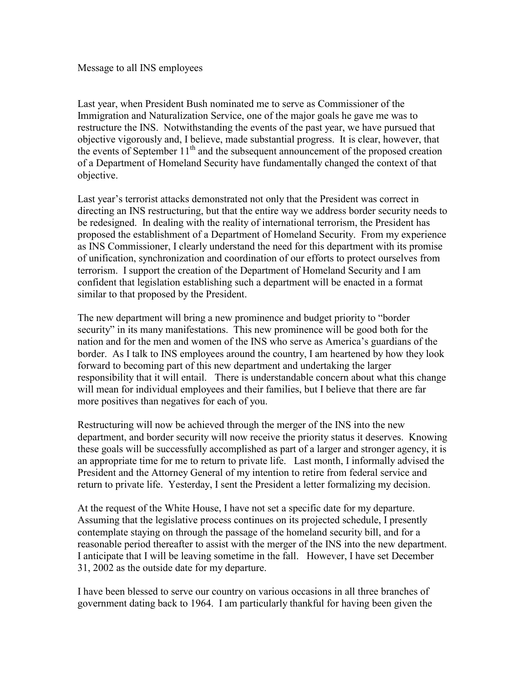Message to all INS employees

Last year, when President Bush nominated me to serve as Commissioner of the Immigration and Naturalization Service, one of the major goals he gave me was to restructure the INS. Notwithstanding the events of the past year, we have pursued that objective vigorously and, I believe, made substantial progress. It is clear, however, that the events of September  $11<sup>th</sup>$  and the subsequent announcement of the proposed creation of a Department of Homeland Security have fundamentally changed the context of that objective.

Last year's terrorist attacks demonstrated not only that the President was correct in directing an INS restructuring, but that the entire way we address border security needs to be redesigned. In dealing with the reality of international terrorism, the President has proposed the establishment of a Department of Homeland Security. From my experience as INS Commissioner, I clearly understand the need for this department with its promise of unification, synchronization and coordination of our efforts to protect ourselves from terrorism. I support the creation of the Department of Homeland Security and I am confident that legislation establishing such a department will be enacted in a format similar to that proposed by the President.

The new department will bring a new prominence and budget priority to "border security" in its many manifestations. This new prominence will be good both for the nation and for the men and women of the INS who serve as America's guardians of the border. As I talk to INS employees around the country, I am heartened by how they look forward to becoming part of this new department and undertaking the larger responsibility that it will entail. There is understandable concern about what this change will mean for individual employees and their families, but I believe that there are far more positives than negatives for each of you.

Restructuring will now be achieved through the merger of the INS into the new department, and border security will now receive the priority status it deserves. Knowing these goals will be successfully accomplished as part of a larger and stronger agency, it is an appropriate time for me to return to private life. Last month, I informally advised the President and the Attorney General of my intention to retire from federal service and return to private life. Yesterday, I sent the President a letter formalizing my decision.

At the request of the White House, I have not set a specific date for my departure. Assuming that the legislative process continues on its projected schedule, I presently contemplate staying on through the passage of the homeland security bill, and for a reasonable period thereafter to assist with the merger of the INS into the new department. I anticipate that I will be leaving sometime in the fall. However, I have set December 31, 2002 as the outside date for my departure.

I have been blessed to serve our country on various occasions in all three branches of government dating back to 1964. I am particularly thankful for having been given the